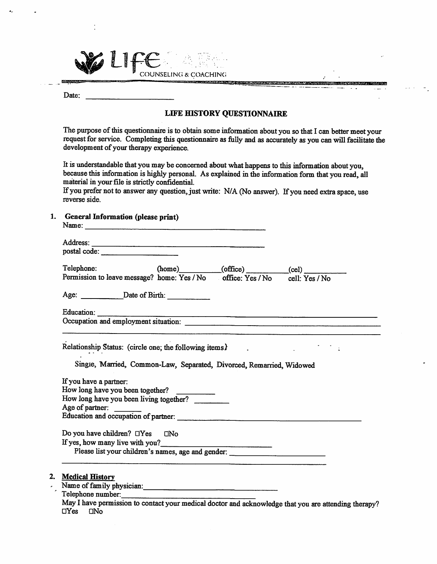|  |  | INSELING & COACHING. |
|--|--|----------------------|

Date:

**Reference** 

## LIFE HISTORY QUESTIONNAIRE

**REPARTMENT AFTER** 

The purpose of this questionnaire is to obtain some information about you so that I can better meet your request for service. Completing this questionnaire as fully and as accurately as you can will facilitate the development of your therapy experience.

It is understandable that you may be concerned about what happens to this information about you, because this information is highly personal. As explained in the information form that you read, all material in your file is strictly confidential.

If you prefer not to answer any question, just write: N/A (No answer). If you need extra space, use reverse side.

1. General Information (please print)

| postal code:                                                                                                                                                                 |  |                         |
|------------------------------------------------------------------------------------------------------------------------------------------------------------------------------|--|-------------------------|
| Telephone:                                                                                                                                                                   |  | $(home)$ (office) (cel) |
| Permission to leave message? home: Yes / No office: Yes / No cell: Yes / No                                                                                                  |  |                         |
|                                                                                                                                                                              |  |                         |
|                                                                                                                                                                              |  |                         |
|                                                                                                                                                                              |  |                         |
| Relationship Status: (circle one; the following items)                                                                                                                       |  |                         |
|                                                                                                                                                                              |  |                         |
|                                                                                                                                                                              |  |                         |
| Single, Married, Common-Law, Separated, Divorced, Remarried, Widowed                                                                                                         |  |                         |
|                                                                                                                                                                              |  |                         |
|                                                                                                                                                                              |  |                         |
|                                                                                                                                                                              |  |                         |
|                                                                                                                                                                              |  |                         |
| If you have a partner:<br>How long have you been together?<br>How long have you been living together?<br>Age of partner:                                                     |  |                         |
|                                                                                                                                                                              |  |                         |
|                                                                                                                                                                              |  |                         |
| Do you have children? $\Box$ Yes $\Box$ No                                                                                                                                   |  |                         |
| If yes, how many live with you?                                                                                                                                              |  |                         |
| Please list your children's names, age and gender:                                                                                                                           |  |                         |
|                                                                                                                                                                              |  |                         |
|                                                                                                                                                                              |  |                         |
|                                                                                                                                                                              |  |                         |
| 2. Medical History<br>Name of family physician:<br>Telephone number:<br>May I have permission to contact your medical doctor and acknowledge that you are attending therapy? |  |                         |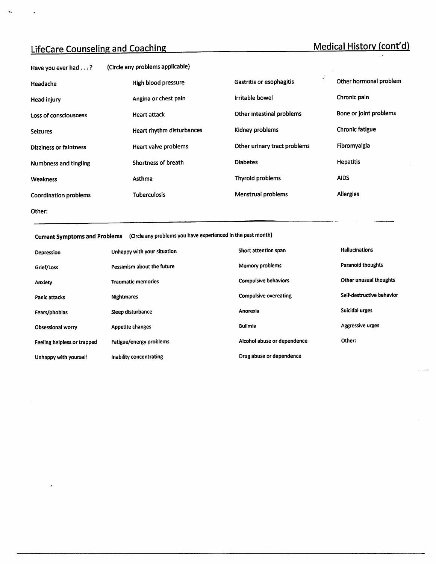# LifeCare Counseling and Coaching Medical History (cont'd)

 $\bullet_{\omega}$ 

 $\ddot{\phantom{a}}$ 

| Have you ever had $\dots$ ?   | (Circle any problems applicable) |                              |                                                       |
|-------------------------------|----------------------------------|------------------------------|-------------------------------------------------------|
| Headache                      | High blood pressure              | Gastritis or esophagitis     | $\mathcal{L}_{\mathcal{A}}$<br>Other hormonal problem |
| Head injury                   | Angina or chest pain             | Irritable bowel              | Chronic pain                                          |
| Loss of consciousness         | <b>Heart attack</b>              | Other intestinal problems    | Bone or joint problems                                |
| <b>Seizures</b>               | Heart rhythm disturbances        | Kidney problems              | Chronic fatigue                                       |
| <b>Dizziness or faintness</b> | Heart valve problems             | Other urinary tract problems | Fibromyalgia                                          |
| <b>Numbness and tingling</b>  | Shortness of breath              | <b>Diabetes</b>              | <b>Hepatitis</b>                                      |
| Weakness                      | Asthma                           | Thyroid problems             | <b>AIDS</b>                                           |
| Coordination problems         | <b>Tuberculosis</b>              | Menstrual problems           | <b>Allergies</b>                                      |
| Other:                        |                                  |                              |                                                       |
|                               |                                  |                              |                                                       |

Current Symptoms and Problems (Circle any problems you have experienced in the past month)

| Depression                  | Unhappy with your situation | Short attention span         | Hallucinations            |
|-----------------------------|-----------------------------|------------------------------|---------------------------|
| Grief/Loss                  | Pessimism about the future  | Memory problems              | <b>Paranoid thoughts</b>  |
| <b>Anxiety</b>              | <b>Traumatic memories</b>   | <b>Compulsive behaviors</b>  | Other unusual thoughts    |
| <b>Panic attacks</b>        | <b>Nightmares</b>           | <b>Compulsive overeating</b> | Self-destructive behavior |
| Fears/phobias               | Sleep disturbance           | Anorexia                     | Suicidal urges            |
| <b>Obsessional worry</b>    | <b>Appetite changes</b>     | <b>Bulimia</b>               | <b>Aggressive urges</b>   |
| Feeling helpless or trapped | Fatigue/energy problems     | Alcohol abuse or dependence  | Other:                    |
| Unhappy with yourself       | Inability concentrating     | Drug abuse or dependence     |                           |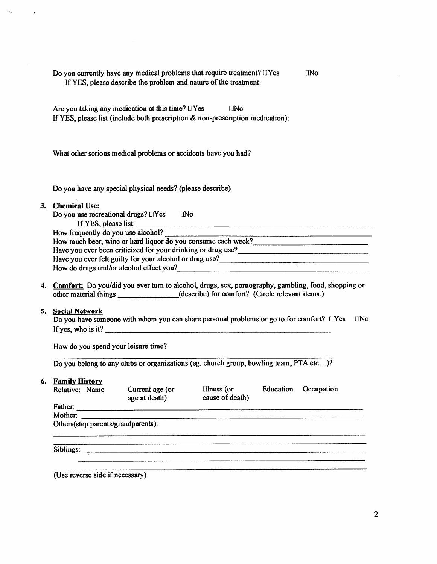| Do you currently have any medical problems that require treatment? TYes | $\square$ No |
|-------------------------------------------------------------------------|--------------|
| If YES, please describe the problem and nature of the treatment:        |              |

Are you taking any medication at this time?  $\Box$ Yes  $\Box$ No If YES, please list (include both prescription & non-prescription medication):

What other serious medical problems or accidents have you had?

Do you have any special physical needs? (please describe)

#### 3. Chemical Use;

Do you use recreational drugs?  $\Box$  Yes  $\Box$  No

If YES, please list:

| How frequently do you use alcohol?                           |
|--------------------------------------------------------------|
| How much beer, wine or hard liquor do you consume each week? |
| Have you ever been criticized for your drinking or drug use? |
| Have you ever felt guilty for your alcohol or drug use?      |
| How do drugs and/or alcohol effect you?                      |

4. Comfort: Do you/did you ever turn to alcohol, drugs, sex, pornography, gambling, food, shopping or other material things (describe) for comfort? (Circle relevant items.)

#### 5. Social Network

Do you have someone with whom you can share personal problems or go to for comfort? LIYes LINo If yes, who is it?

How do you spend your leisure time?

Do you belong to any clubs or organizations (eg. church group, bowling team, PTA etc...)?

#### 6. Family History

| Relative: Name | Current age (or<br>age at death)   | Illness (or | Education<br>cause of death) | Occupation |
|----------------|------------------------------------|-------------|------------------------------|------------|
| Father:        |                                    |             |                              |            |
| Mother:        |                                    |             |                              |            |
|                | Others(step parents/grandparents): |             |                              |            |
|                |                                    |             |                              |            |
|                |                                    |             |                              |            |
| Siblings:      |                                    |             |                              |            |
|                |                                    |             |                              |            |
|                |                                    |             |                              |            |

(Use reverse side if necessary)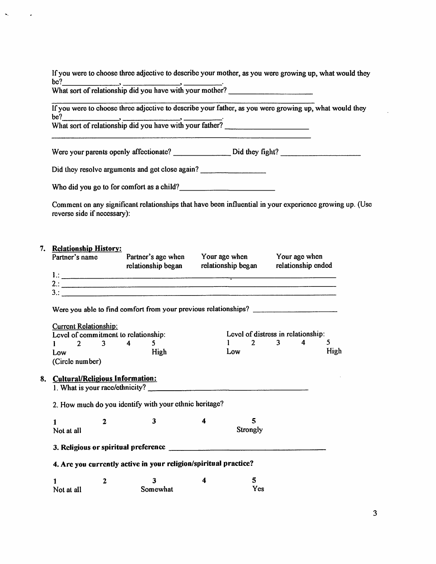If you were to choose three adjective to describe your mother, as you were growing up, what would they be? be? , .

What sort of relationship did you have with your mother?

If you were to choose three adjective to describe your father, as you were growing up, what would they be? be? , , .

What sort of relationship did you have with your father?

Were your parents openly affectionate? Did they fight?

Did they resolve arguments and get close again?

Who did you go to for comfort as a child?

Comment on any significant relationships that have been influential in your experience growing up. (Use reverse side if necessary):

### 7. Relationship History:

|                                              |              | Partner's name Partner's age when Your age when Your age when<br>relationship began relationship began relationship ended |                         |     |          |                                    |      |
|----------------------------------------------|--------------|---------------------------------------------------------------------------------------------------------------------------|-------------------------|-----|----------|------------------------------------|------|
|                                              |              |                                                                                                                           |                         |     |          |                                    |      |
|                                              |              |                                                                                                                           |                         |     |          |                                    |      |
|                                              |              |                                                                                                                           |                         |     |          |                                    |      |
|                                              |              |                                                                                                                           |                         |     |          |                                    |      |
| <b>Current Relationship:</b>                 |              |                                                                                                                           |                         |     |          |                                    |      |
|                                              |              | Level of commitment to relationship:                                                                                      |                         |     |          | Level of distress in relationship: |      |
| $1 \quad 2 \quad 3 \quad 4 \quad 5$          |              |                                                                                                                           |                         |     |          | $1 \quad 2 \quad 3 \quad 4$        | 5    |
| Low                                          |              | High                                                                                                                      |                         | Low |          |                                    | High |
| (Circle number)                              |              |                                                                                                                           |                         |     |          |                                    |      |
| <b>Cultural/Religious Information:</b><br>8. |              |                                                                                                                           |                         |     |          |                                    |      |
|                                              |              | 2. How much do you identify with your ethnic heritage?                                                                    |                         |     |          |                                    |      |
| $\mathbf{1}$                                 | $\mathbf{2}$ | $\mathbf{3}$                                                                                                              | $\overline{\mathbf{4}}$ |     | 5        |                                    |      |
| Not at all                                   |              |                                                                                                                           |                         |     | Strongly |                                    |      |
|                                              |              |                                                                                                                           |                         |     |          |                                    |      |
|                                              |              | 4. Are you currently active in your religion/spiritual practice?                                                          |                         |     |          |                                    |      |
| 1                                            | $\mathbf{2}$ | 3                                                                                                                         | 4                       |     | 5        |                                    |      |
| Not at all                                   |              | Somewhat                                                                                                                  |                         |     | Yes      |                                    |      |